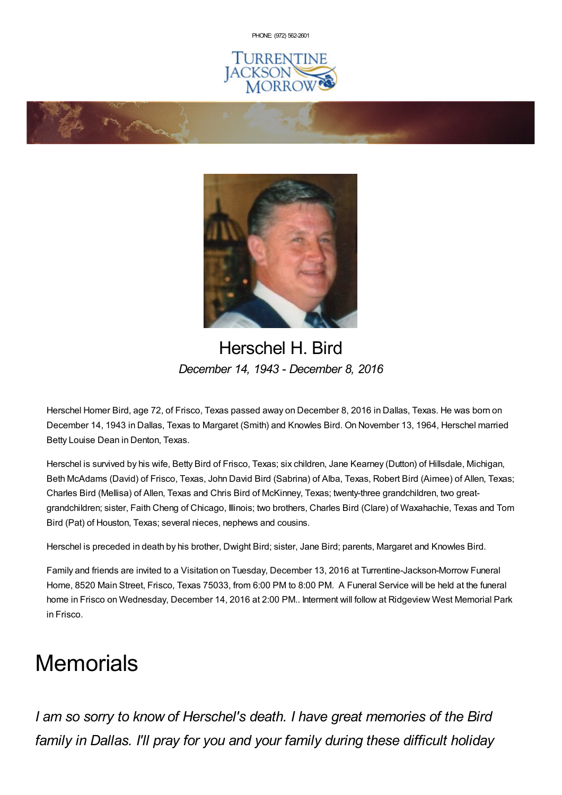PHONE: (972) [562-2601](tel:(972) 562-2601)







# Herschel H. Bird *December 14, 1943 - December 8, 2016*

Herschel Homer Bird, age 72, of Frisco, Texas passed away on December 8, 2016 in Dallas, Texas. He was born on December 14, 1943 in Dallas, Texas to Margaret (Smith) and Knowles Bird. On November 13, 1964, Herschel married Betty Louise Dean in Denton, Texas.

Herschel is survived by his wife, Betty Bird of Frisco, Texas; six children, Jane Kearney (Dutton) of Hillsdale, Michigan, Beth McAdams (David) of Frisco, Texas, John David Bird (Sabrina) of Alba, Texas, Robert Bird (Aimee) of Allen, Texas; Charles Bird (Mellisa) of Allen, Texas and Chris Bird of McKinney, Texas; twenty-three grandchildren, two greatgrandchildren; sister, Faith Cheng of Chicago, Illinois; two brothers, Charles Bird (Clare) of Waxahachie, Texas and Tom Bird (Pat) of Houston, Texas; several nieces, nephews and cousins.

Herschel is preceded in death by his brother, Dwight Bird; sister, Jane Bird; parents, Margaret and Knowles Bird.

Family and friends are invited to a Visitation on Tuesday, December 13, 2016 at Turrentine-Jackson-Morrow Funeral Home, 8520 Main Street, Frisco, Texas 75033, from 6:00 PM to 8:00 PM. A Funeral Service will be held at the funeral home in Frisco on Wednesday, December 14, 2016 at 2:00 PM.. Interment will follow at Ridgeview West Memorial Park in Frisco.

# **Memorials**

*I am so sorry to know of Herschel's death. I have great memories of the Bird family in Dallas. I'll pray for you and your family during these difficult holiday*